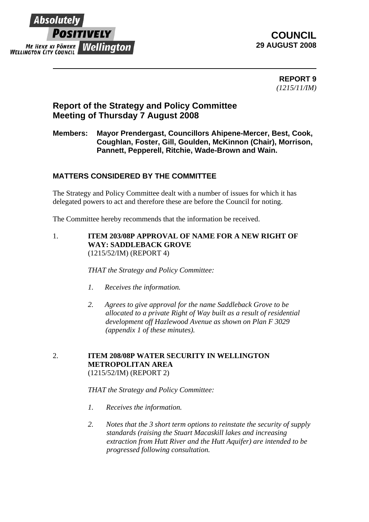

# **COUNCIL 29 AUGUST 2008**

**REPORT 9**  *(1215/11/IM)*

# **Report of the Strategy and Policy Committee Meeting of Thursday 7 August 2008**

## **Members: Mayor Prendergast, Councillors Ahipene-Mercer, Best, Cook, Coughlan, Foster, Gill, Goulden, McKinnon (Chair), Morrison, Pannett, Pepperell, Ritchie, Wade-Brown and Wain.**

## **MATTERS CONSIDERED BY THE COMMITTEE**

The Strategy and Policy Committee dealt with a number of issues for which it has delegated powers to act and therefore these are before the Council for noting.

The Committee hereby recommends that the information be received.

1. **ITEM 203/08P APPROVAL OF NAME FOR A NEW RIGHT OF WAY: SADDLEBACK GROVE** (1215/52/IM) (REPORT 4)

*THAT the Strategy and Policy Committee:*

- *1. Receives the information.*
- *2. Agrees to give approval for the name Saddleback Grove to be allocated to a private Right of Way built as a result of residential development off Hazlewood Avenue as shown on Plan F 3029 (appendix 1 of these minutes).*

#### 2. **ITEM 208/08P WATER SECURITY IN WELLINGTON METROPOLITAN AREA** (1215/52/IM) (REPORT 2)

*THAT the Strategy and Policy Committee:*

- *1. Receives the information.*
- *2. Notes that the 3 short term options to reinstate the security of supply standards (raising the Stuart Macaskill lakes and increasing extraction from Hutt River and the Hutt Aquifer) are intended to be progressed following consultation.*